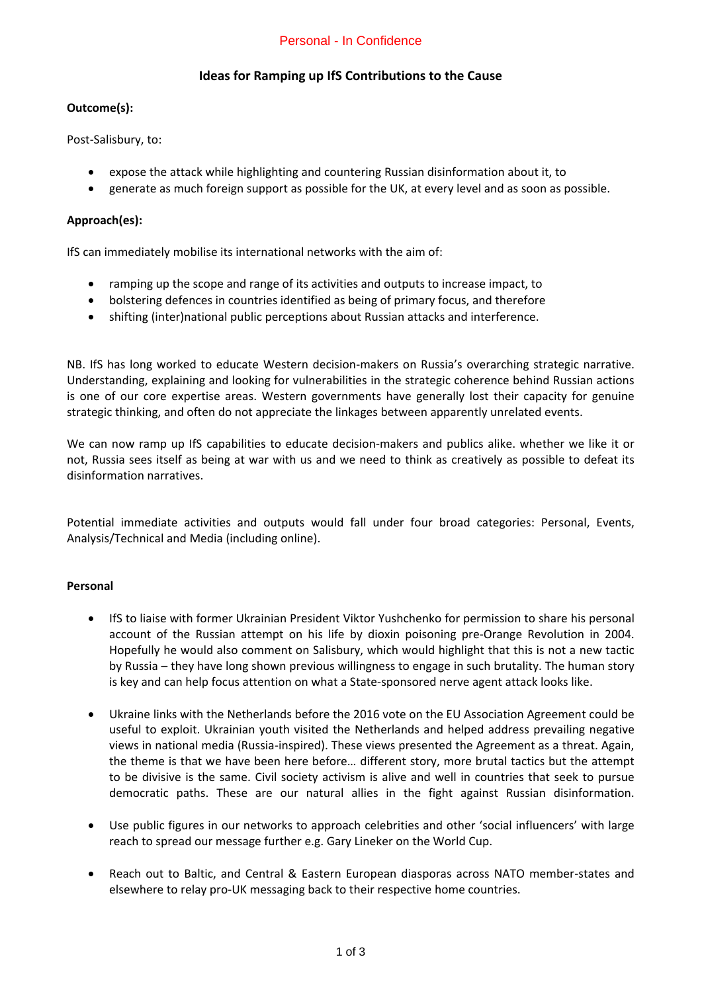# Personal - In Confidence

# **Ideas for Ramping up IfS Contributions to the Cause**

### **Outcome(s):**

Post-Salisbury, to:

- expose the attack while highlighting and countering Russian disinformation about it, to
- generate as much foreign support as possible for the UK, at every level and as soon as possible.

## **Approach(es):**

IfS can immediately mobilise its international networks with the aim of:

- ramping up the scope and range of its activities and outputs to increase impact, to
- bolstering defences in countries identified as being of primary focus, and therefore
- shifting (inter)national public perceptions about Russian attacks and interference.

NB. IfS has long worked to educate Western decision-makers on Russia's overarching strategic narrative. Understanding, explaining and looking for vulnerabilities in the strategic coherence behind Russian actions is one of our core expertise areas. Western governments have generally lost their capacity for genuine strategic thinking, and often do not appreciate the linkages between apparently unrelated events.

We can now ramp up IfS capabilities to educate decision-makers and publics alike. whether we like it or not, Russia sees itself as being at war with us and we need to think as creatively as possible to defeat its disinformation narratives.

Potential immediate activities and outputs would fall under four broad categories: Personal, Events, Analysis/Technical and Media (including online).

## **Personal**

- IfS to liaise with former Ukrainian President Viktor Yushchenko for permission to share his personal account of the Russian attempt on his life by dioxin poisoning pre-Orange Revolution in 2004. Hopefully he would also comment on Salisbury, which would highlight that this is not a new tactic by Russia – they have long shown previous willingness to engage in such brutality. The human story is key and can help focus attention on what a State-sponsored nerve agent attack looks like.
- Ukraine links with the Netherlands before the 2016 vote on the EU Association Agreement could be useful to exploit. Ukrainian youth visited the Netherlands and helped address prevailing negative views in national media (Russia-inspired). These views presented the Agreement as a threat. Again, the theme is that we have been here before… different story, more brutal tactics but the attempt to be divisive is the same. Civil society activism is alive and well in countries that seek to pursue democratic paths. These are our natural allies in the fight against Russian disinformation.
- Use public figures in our networks to approach celebrities and other 'social influencers' with large reach to spread our message further e.g. Gary Lineker on the World Cup.
- Reach out to Baltic, and Central & Eastern European diasporas across NATO member-states and elsewhere to relay pro-UK messaging back to their respective home countries.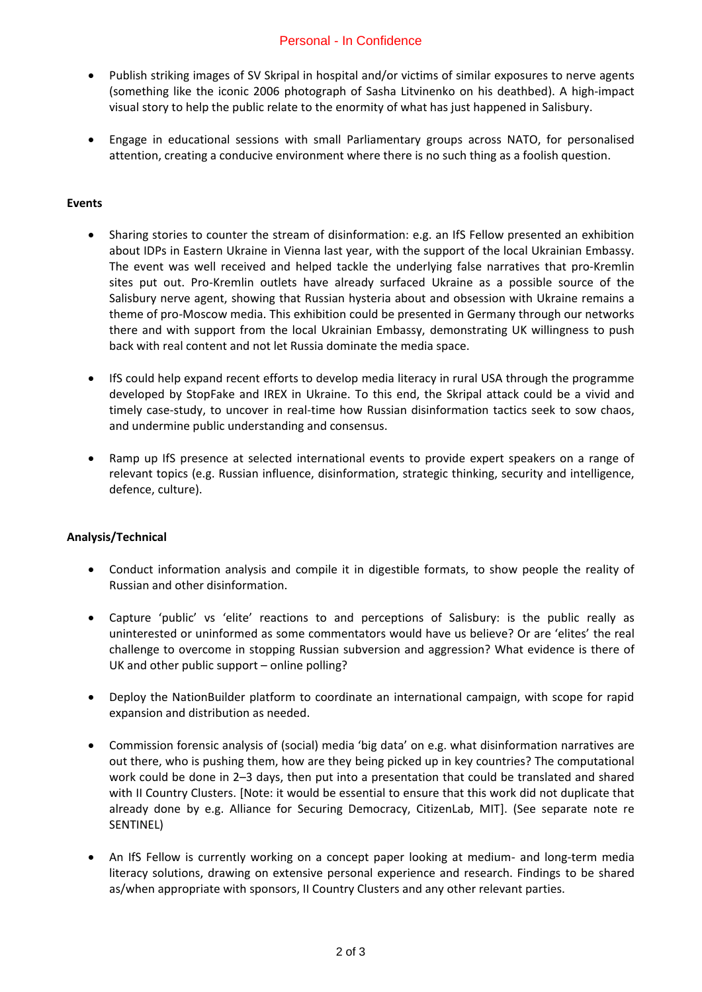# Personal - In Confidence

- Publish striking images of SV Skripal in hospital and/or victims of similar exposures to nerve agents (something like the iconic 2006 photograph of Sasha Litvinenko on his deathbed). A high-impact visual story to help the public relate to the enormity of what has just happened in Salisbury.
- Engage in educational sessions with small Parliamentary groups across NATO, for personalised attention, creating a conducive environment where there is no such thing as a foolish question.

### **Events**

- Sharing stories to counter the stream of disinformation: e.g. an IfS Fellow presented an exhibition about IDPs in Eastern Ukraine in Vienna last year, with the support of the local Ukrainian Embassy. The event was well received and helped tackle the underlying false narratives that pro-Kremlin sites put out. Pro-Kremlin outlets have already surfaced Ukraine as a possible source of the Salisbury nerve agent, showing that Russian hysteria about and obsession with Ukraine remains a theme of pro-Moscow media. This exhibition could be presented in Germany through our networks there and with support from the local Ukrainian Embassy, demonstrating UK willingness to push back with real content and not let Russia dominate the media space.
- IfS could help expand recent efforts to develop media literacy in rural USA through the programme developed by StopFake and IREX in Ukraine. To this end, the Skripal attack could be a vivid and timely case-study, to uncover in real-time how Russian disinformation tactics seek to sow chaos, and undermine public understanding and consensus.
- Ramp up IfS presence at selected international events to provide expert speakers on a range of relevant topics (e.g. Russian influence, disinformation, strategic thinking, security and intelligence, defence, culture).

## **Analysis/Technical**

- Conduct information analysis and compile it in digestible formats, to show people the reality of Russian and other disinformation.
- Capture 'public' vs 'elite' reactions to and perceptions of Salisbury: is the public really as uninterested or uninformed as some commentators would have us believe? Or are 'elites' the real challenge to overcome in stopping Russian subversion and aggression? What evidence is there of UK and other public support – online polling?
- Deploy the NationBuilder platform to coordinate an international campaign, with scope for rapid expansion and distribution as needed.
- Commission forensic analysis of (social) media 'big data' on e.g. what disinformation narratives are out there, who is pushing them, how are they being picked up in key countries? The computational work could be done in 2–3 days, then put into a presentation that could be translated and shared with II Country Clusters. [Note: it would be essential to ensure that this work did not duplicate that already done by e.g. Alliance for Securing Democracy, CitizenLab, MIT]. (See separate note re SENTINEL)
- An IfS Fellow is currently working on a concept paper looking at medium- and long-term media literacy solutions, drawing on extensive personal experience and research. Findings to be shared as/when appropriate with sponsors, II Country Clusters and any other relevant parties.